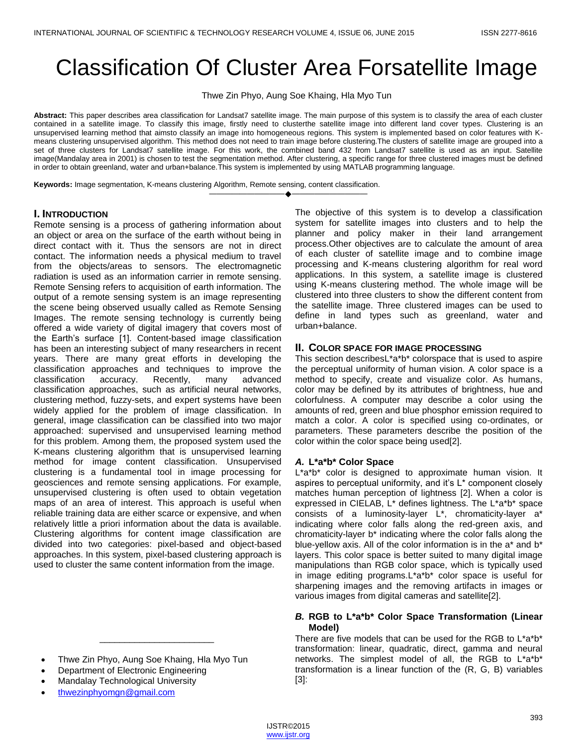# Classification Of Cluster Area Forsatellite Image

Thwe Zin Phyo, Aung Soe Khaing, Hla Myo Tun

**Abstract:** This paper describes area classification for Landsat7 satellite image. The main purpose of this system is to classify the area of each cluster contained in a satellite image. To classify this image, firstly need to clusterthe satellite image into different land cover types. Clustering is an unsupervised learning method that aimsto classify an image into homogeneous regions. This system is implemented based on color features with Kmeans clustering unsupervised algorithm. This method does not need to train image before clustering.The clusters of satellite image are grouped into a set of three clusters for Landsat7 satellite image. For this work, the combined band 432 from Landsat7 satellite is used as an input. Satellite image(Mandalay area in 2001) is chosen to test the segmentation method. After clustering, a specific range for three clustered images must be defined in order to obtain greenland, water and urban+balance.This system is implemented by using MATLAB programming language.

————————————————————

**Keywords:** Image segmentation, K-means clustering Algorithm, Remote sensing, content classification.

## **I. INTRODUCTION**

Remote sensing is a process of gathering information about an object or area on the surface of the earth without being in direct contact with it. Thus the sensors are not in direct contact. The information needs a physical medium to travel from the objects/areas to sensors. The electromagnetic radiation is used as an information carrier in remote sensing. Remote Sensing refers to acquisition of earth information. The output of a remote sensing system is an image representing the scene being observed usually called as Remote Sensing Images. The remote sensing technology is currently being offered a wide variety of digital imagery that covers most of the Earth's surface [1]. Content-based image classification has been an interesting subject of many researchers in recent years. There are many great efforts in developing the classification approaches and techniques to improve the classification accuracy. Recently, many advanced classification approaches, such as artificial neural networks, clustering method, fuzzy-sets, and expert systems have been widely applied for the problem of image classification. In general, image classification can be classified into two major approached: supervised and unsupervised learning method for this problem. Among them, the proposed system used the K-means clustering algorithm that is unsupervised learning method for image content classification. Unsupervised clustering is a fundamental tool in image processing for geosciences and remote sensing applications. For example, unsupervised clustering is often used to obtain vegetation maps of an area of interest. This approach is useful when reliable training data are either scarce or expensive, and when relatively little a priori information about the data is available. Clustering algorithms for content image classification are divided into two categories: pixel-based and object-based approaches. In this system, pixel-based clustering approach is used to cluster the same content information from the image.

Thwe Zin Phyo, Aung Soe Khaing, Hla Myo Tun

\_\_\_\_\_\_\_\_\_\_\_\_\_\_\_\_\_\_\_\_\_\_\_

- Department of Electronic Engineering
- Mandalay Technological University
- [thwezinphyomgn@gmail.com](mailto:thwezinphyomgn@gmail.com)

The objective of this system is to develop a classification system for satellite images into clusters and to help the planner and policy maker in their land arrangement process.Other objectives are to calculate the amount of area of each cluster of satellite image and to combine image processing and K-means clustering algorithm for real word applications. In this system, a satellite image is clustered using K-means clustering method. The whole image will be clustered into three clusters to show the different content from the satellite image. Three clustered images can be used to define in land types such as greenland, water and urban+balance.

## **II. COLOR SPACE FOR IMAGE PROCESSING**

This section describesL\*a\*b\* colorspace that is used to aspire the perceptual uniformity of human vision. A color space is a method to specify, create and visualize color. As humans, color may be defined by its attributes of brightness, hue and colorfulness. A computer may describe a color using the amounts of red, green and blue phosphor emission required to match a color. A color is specified using co-ordinates, or parameters. These parameters describe the position of the color within the color space being used[2].

### *A.* **L\*a\*b\* Color Space**

L\*a\*b\* color is designed to approximate human vision. It aspires to perceptual uniformity, and it's L\* component closely matches human perception of lightness [2]. When a color is expressed in CIELAB, L\* defines lightness. The L\*a\*b\* space consists of a luminosity-layer L\*, chromaticity-layer a\* indicating where color falls along the red-green axis, and chromaticity-layer b\* indicating where the color falls along the blue-yellow axis. All of the color information is in the a\* and b\* layers. This color space is better suited to many digital image manipulations than RGB color space, which is typically used in image editing programs.L\*a\*b\* color space is useful for sharpening images and the removing artifacts in images or various images from digital cameras and satellite[2].

### *B.* **RGB to L\*a\*b\* Color Space Transformation (Linear Model)**

There are five models that can be used for the RGB to L\*a\*b\* transformation: linear, quadratic, direct, gamma and neural networks. The simplest model of all, the RGB to L\*a\*b\* transformation is a linear function of the (R, G, B) variables [3]: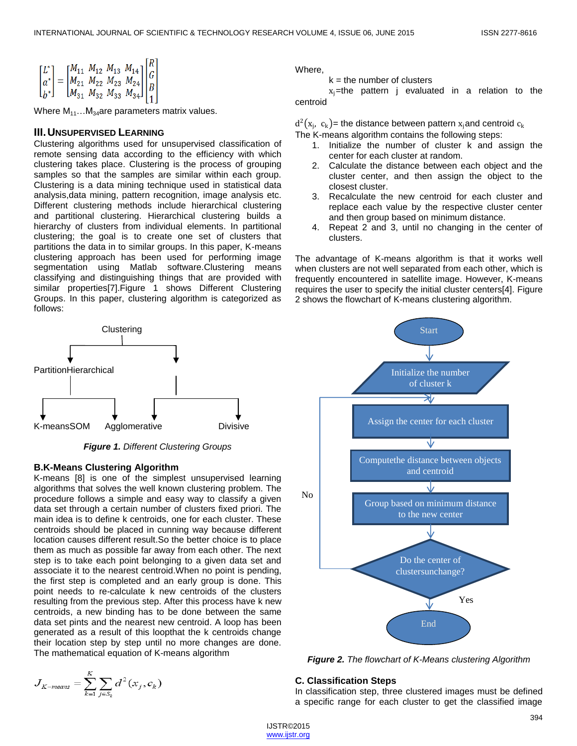$$
\begin{bmatrix} L^* \\ a^* \\ b^* \end{bmatrix} = \begin{bmatrix} M_{11} & M_{12} & M_{13} & M_{14} \\ M_{21} & M_{22} & M_{23} & M_{24} \\ M_{31} & M_{32} & M_{33} & M_{34} \end{bmatrix} \begin{bmatrix} R \\ G \\ B \\ R \end{bmatrix}
$$

Where  $M_{11}...M_{34}$  are parameters matrix values.

### **III.UNSUPERVISED LEARNING**

Clustering algorithms used for unsupervised classification of remote sensing data according to the efficiency with which clustering takes place. Clustering is the process of grouping samples so that the samples are similar within each group. Clustering is a data mining technique used in statistical data analysis,data mining, pattern recognition, image analysis etc. Different clustering methods include hierarchical clustering and partitional clustering. Hierarchical clustering builds a hierarchy of clusters from individual elements. In partitional clustering; the goal is to create one set of clusters that partitions the data in to similar groups. In this paper, K-means clustering approach has been used for performing image segmentation using Matlab software.Clustering means classifying and distinguishing things that are provided with similar properties[7].Figure 1 shows Different Clustering Groups. In this paper, clustering algorithm is categorized as follows:



*Figure 1. Different Clustering Groups*

#### **B.K-Means Clustering Algorithm**

K-means [8] is one of the simplest unsupervised learning algorithms that solves the well known clustering problem. The procedure follows a simple and easy way to classify a given data set through a certain number of clusters fixed priori. The main idea is to define k centroids, one for each cluster. These centroids should be placed in cunning way because different location causes different result.So the better choice is to place them as much as possible far away from each other. The next step is to take each point belonging to a given data set and associate it to the nearest centroid.When no point is pending, the first step is completed and an early group is done. This point needs to re-calculate k new centroids of the clusters resulting from the previous step. After this process have k new centroids, a new binding has to be done between the same data set pints and the nearest new centroid. A loop has been generated as a result of this loopthat the k centroids change their location step by step until no more changes are done. The mathematical equation of K-means algorithm

$$
J_{K-means} = \sum_{k=1}^{K} \sum_{j \in S_k} d^2(x_j, c_k)
$$

Where,

 $k =$  the number of clusters

 $x_j$ =the pattern j evaluated in a relation to the centroid

 $\rm d^2(x_{j},\;c_k)$ = the distance between pattern  $\rm x_{j}$ and centroid  $\rm c_k$ 

The K-means algorithm contains the following steps:

- 1. Initialize the number of cluster k and assign the center for each cluster at random.
- 2. Calculate the distance between each object and the cluster center, and then assign the object to the closest cluster.
- 3. Recalculate the new centroid for each cluster and replace each value by the respective cluster center and then group based on minimum distance.
- 4. Repeat 2 and 3, until no changing in the center of clusters.

The advantage of K-means algorithm is that it works well when clusters are not well separated from each other, which is frequently encountered in satellite image. However, K-means requires the user to specify the initial cluster centers[4]. Figure 2 shows the flowchart of K-means clustering algorithm.



*Figure 2. The flowchart of K-Means clustering Algorithm*

#### **C. Classification Steps**

In classification step, three clustered images must be defined a specific range for each cluster to get the classified image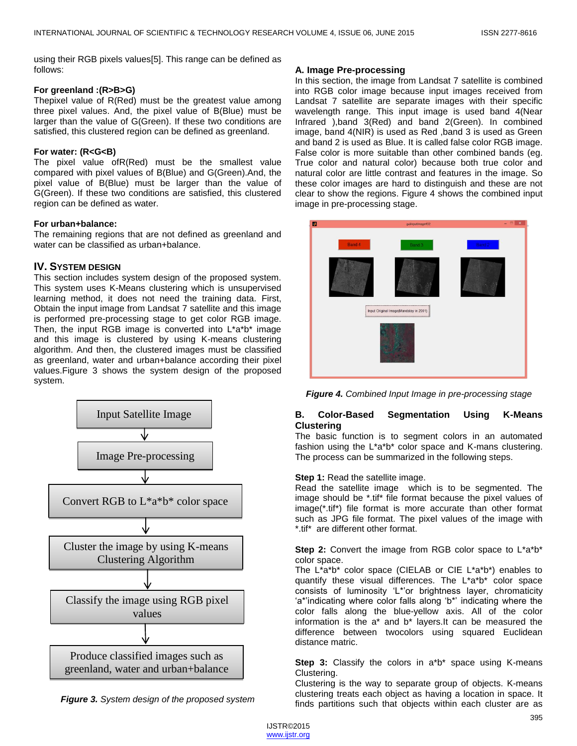using their RGB pixels values[5]. This range can be defined as follows:

#### **For greenland :(R>B>G)**

Thepixel value of R(Red) must be the greatest value among three pixel values. And, the pixel value of B(Blue) must be larger than the value of G(Green). If these two conditions are satisfied, this clustered region can be defined as greenland.

#### **For water: (R<G<B)**

The pixel value ofR(Red) must be the smallest value compared with pixel values of B(Blue) and G(Green).And, the pixel value of B(Blue) must be larger than the value of G(Green). If these two conditions are satisfied, this clustered region can be defined as water.

#### **For urban+balance:**

The remaining regions that are not defined as greenland and water can be classified as urban+balance.

# **IV. SYSTEM DESIGN**

This section includes system design of the proposed system. This system uses K-Means clustering which is unsupervised learning method, it does not need the training data. First, Obtain the input image from Landsat 7 satellite and this image is performed pre-processing stage to get color RGB image. Then, the input RGB image is converted into L\*a\*b\* image and this image is clustered by using K-means clustering algorithm. And then, the clustered images must be classified as greenland, water and urban+balance according their pixel values.Figure 3 shows the system design of the proposed system.



*Figure 3. System design of the proposed system*

## **A. Image Pre-processing**

In this section, the image from Landsat 7 satellite is combined into RGB color image because input images received from Landsat 7 satellite are separate images with their specific wavelength range. This input image is used band 4(Near Infrared ),band 3(Red) and band 2(Green). In combined image, band 4(NIR) is used as Red ,band 3 is used as Green and band 2 is used as Blue. It is called false color RGB image. False color is more suitable than other combined bands (eg. True color and natural color) because both true color and natural color are little contrast and features in the image. So these color images are hard to distinguish and these are not clear to show the regions. Figure 4 shows the combined input image in pre-processing stage.



*Figure 4. Combined Input Image in pre-processing stage*

## **B. Color-Based Segmentation Using K-Means Clustering**

The basic function is to segment colors in an automated fashion using the L\*a\*b\* color space and K-mans clustering. The process can be summarized in the following steps.

### **Step 1: Read the satellite image.**

Read the satellite image which is to be segmented. The image should be \*.tif\* file format because the pixel values of image(\*.tif\*) file format is more accurate than other format such as JPG file format. The pixel values of the image with \*.tif\* are different other format.

**Step 2:** Convert the image from RGB color space to L\*a\*b\* color space.

The L\*a\*b\* color space (CIELAB or CIE L\*a\*b\*) enables to quantify these visual differences. The L\*a\*b\* color space consists of luminosity 'L\*'or brightness layer, chromaticity 'a\*'indicating where color falls along 'b\*' indicating where the color falls along the blue-yellow axis. All of the color information is the a\* and b\* layers.It can be measured the difference between twocolors using squared Euclidean distance matric.

**Step 3:** Classify the colors in a<sup>\*b\*</sup> space using K-means Clustering.

Clustering is the way to separate group of objects. K-means clustering treats each object as having a location in space. It finds partitions such that objects within each cluster are as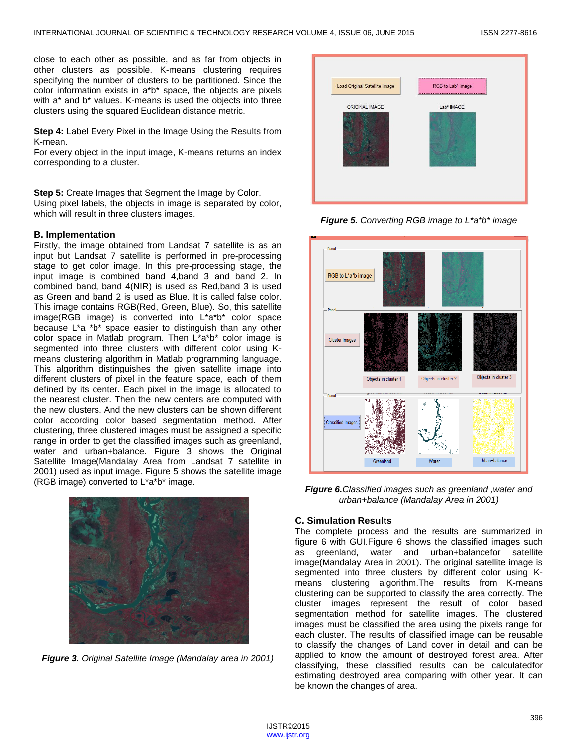close to each other as possible, and as far from objects in other clusters as possible. K-means clustering requires specifying the number of clusters to be partitioned. Since the color information exists in a\*b\* space, the objects are pixels with a<sup>\*</sup> and b<sup>\*</sup> values. K-means is used the objects into three clusters using the squared Euclidean distance metric.

**Step 4:** Label Every Pixel in the Image Using the Results from K-mean.

For every object in the input image, K-means returns an index corresponding to a cluster.

**Step 5:** Create Images that Segment the Image by Color. Using pixel labels, the objects in image is separated by color, which will result in three clusters images.

#### **B. Implementation**

Firstly, the image obtained from Landsat 7 satellite is as an input but Landsat 7 satellite is performed in pre-processing stage to get color image. In this pre-processing stage, the input image is combined band 4,band 3 and band 2. In combined band, band 4(NIR) is used as Red,band 3 is used as Green and band 2 is used as Blue. It is called false color. This image contains RGB(Red, Green, Blue). So, this satellite image(RGB image) is converted into L\*a\*b\* color space because L\*a \*b\* space easier to distinguish than any other color space in Matlab program. Then L\*a\*b\* color image is segmented into three clusters with different color using Kmeans clustering algorithm in Matlab programming language. This algorithm distinguishes the given satellite image into different clusters of pixel in the feature space, each of them defined by its center. Each pixel in the image is allocated to the nearest cluster. Then the new centers are computed with the new clusters. And the new clusters can be shown different color according color based segmentation method. After clustering, three clustered images must be assigned a specific range in order to get the classified images such as greenland, water and urban+balance. Figure 3 shows the Original Satellite Image(Mandalay Area from Landsat 7 satellite in 2001) used as input image. Figure 5 shows the satellite image (RGB image) converted to L\*a\*b\* image.



*Figure 3. Original Satellite Image (Mandalay area in 2001)*



*Figure 5. Converting RGB image to L\*a\*b\* image*



*Figure 6.Classified images such as greenland ,water and urban+balance (Mandalay Area in 2001)*

#### **C. Simulation Results**

The complete process and the results are summarized in figure 6 with GUI.Figure 6 shows the classified images such as greenland, water and urban+balancefor satellite image(Mandalay Area in 2001). The original satellite image is segmented into three clusters by different color using Kmeans clustering algorithm.The results from K-means clustering can be supported to classify the area correctly. The cluster images represent the result of color based segmentation method for satellite images. The clustered images must be classified the area using the pixels range for each cluster. The results of classified image can be reusable to classify the changes of Land cover in detail and can be applied to know the amount of destroyed forest area. After classifying, these classified results can be calculatedfor estimating destroyed area comparing with other year. It can be known the changes of area.